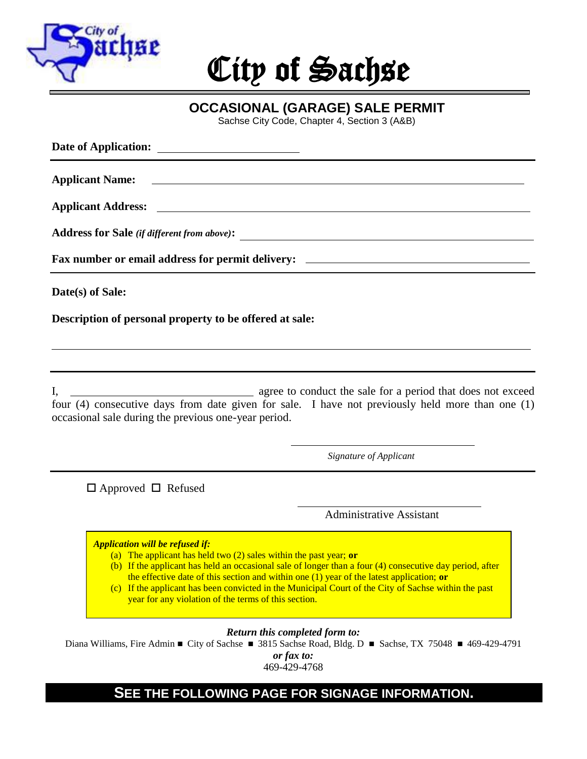

# City of Sachse

**OCCASIONAL (GARAGE) SALE PERMIT**

Sachse City Code, Chapter 4, Section 3 (A&B)

| Address for Sale (if different from above):                                                                                                                                                                                |
|----------------------------------------------------------------------------------------------------------------------------------------------------------------------------------------------------------------------------|
| Fax number or email address for permit delivery: ________________________________                                                                                                                                          |
| Date(s) of Sale:                                                                                                                                                                                                           |
| Description of personal property to be offered at sale:                                                                                                                                                                    |
| ,我们也不会有什么。""我们的人,我们也不会有什么?""我们的人,我们也不会有什么?""我们的人,我们也不会有什么?""我们的人,我们也不会有什么?""我们的人                                                                                                                                           |
| I, agree to conduct the sale for a period that does not exceed<br>four (4) consecutive days from date given for sale. I have not previously held more than one (1)<br>occasional sale during the previous one-year period. |
| Signature of Applicant                                                                                                                                                                                                     |

 $\Box$  Approved  $\Box$  Refused

Administrative Assistant

*Application will be refused if:*

- (a) The applicant has held two (2) sales within the past year; **or**
- (b) (b) If the applicant has held an occasional sale of longer than a four (4) consecutive day period, after the effective date of this section and within one (1) year of the latest application; **or**
- (c) (c) If the applicant has been convicted in the Municipal Court of the City of Sachse within the past year for any violation of the terms of this section.

*Return this completed form to:* 

Diana Williams, Fire Admin ■ City of Sachse ■ 3815 Sachse Road, Bldg. D ■ Sachse, TX 75048 ■ 469-429-4791

*or fax to:*  469-429-4768

# **SEE THE FOLLOWING PAGE FOR SIGNAGE INFORMATION.**